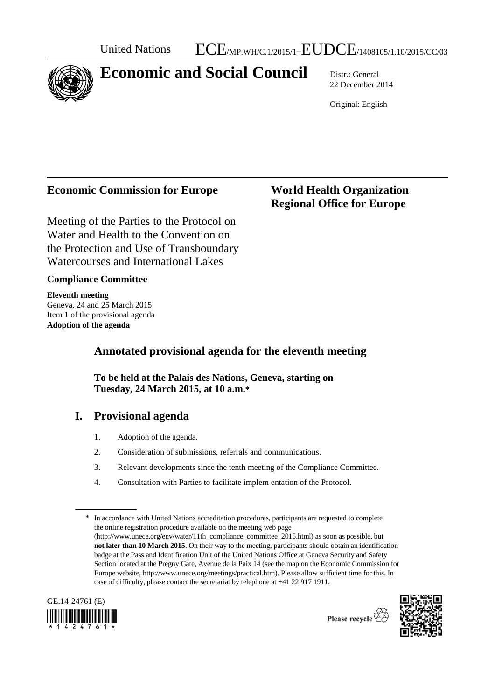## **Economic and Social Council** Distr.: General

22 December 2014

Original: English

## **Economic Commission for Europe World Health Organization**

# **Regional Office for Europe**

Meeting of the Parties to the Protocol on Water and Health to the Convention on the Protection and Use of Transboundary Watercourses and International Lakes

### **Compliance Committee**

**Eleventh meeting** Geneva, 24 and 25 March 2015 Item 1 of the provisional agenda **Adoption of the agenda**

## **Annotated provisional agenda for the eleventh meeting**

**To be held at the Palais des Nations, Geneva, starting on Tuesday, 24 March 2015, at 10 a.m.\***

## **I. Provisional agenda**

- 1. Adoption of the agenda.
- 2. Consideration of submissions, referrals and communications.
- 3. Relevant developments since the tenth meeting of the Compliance Committee.
- 4. Consultation with Parties to facilitate implem entation of the Protocol.

<sup>\*</sup> In accordance with United Nations accreditation procedures, participants are requested to complete the online registration procedure available on the meeting web page [\(http://www.unece.org/env/water/11th\\_compliance\\_committee\\_2015.html\)](http://www.unece.org/env/water/11th_compliance_committee_2015.html) as soon as possible, but **not later than 10 March 2015**. On their way to the meeting, participants should obtain an identification badge at the Pass and Identification Unit of the United Nations Office at Geneva Security and Safety Section located at the Pregny Gate, Avenue de la Paix 14 (see the map on the Economic Commission for Europe website, [http://www.unece.org/meetings/practical.htm\)](http://www.unece.org/meetings/practical.htm). Please allow sufficient time for this. In case of difficulty, please contact the secretariat by telephone at +41 22 917 1911.







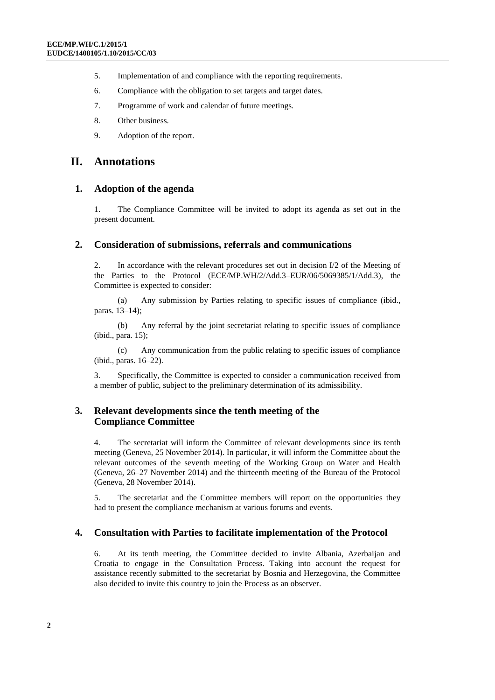- 5. Implementation of and compliance with the reporting requirements.
- 6. Compliance with the obligation to set targets and target dates.
- 7. Programme of work and calendar of future meetings.
- 8. Other business.
- 9. Adoption of the report.

#### **II. Annotations**

#### **1. Adoption of the agenda**

1. The Compliance Committee will be invited to adopt its agenda as set out in the present document.

#### **2. Consideration of submissions, referrals and communications**

2. In accordance with the relevant procedures set out in decision I/2 of the Meeting of the Parties to the Protocol (ECE/MP.WH/2/Add.3–EUR/06/5069385/1/Add.3), the Committee is expected to consider:

(a) Any submission by Parties relating to specific issues of compliance (ibid., paras. 13–14);

(b) Any referral by the joint secretariat relating to specific issues of compliance (ibid., para. 15);

(c) Any communication from the public relating to specific issues of compliance (ibid., paras. 16–22).

3. Specifically, the Committee is expected to consider a communication received from a member of public, subject to the preliminary determination of its admissibility.

#### **3. Relevant developments since the tenth meeting of the Compliance Committee**

4. The secretariat will inform the Committee of relevant developments since its tenth meeting (Geneva, 25 November 2014). In particular, it will inform the Committee about the relevant outcomes of the seventh meeting of the Working Group on Water and Health (Geneva, 26–27 November 2014) and the thirteenth meeting of the Bureau of the Protocol (Geneva, 28 November 2014).

5. The secretariat and the Committee members will report on the opportunities they had to present the compliance mechanism at various forums and events.

#### **4. Consultation with Parties to facilitate implementation of the Protocol**

6. At its tenth meeting, the Committee decided to invite Albania, Azerbaijan and Croatia to engage in the Consultation Process. Taking into account the request for assistance recently submitted to the secretariat by Bosnia and Herzegovina, the Committee also decided to invite this country to join the Process as an observer.